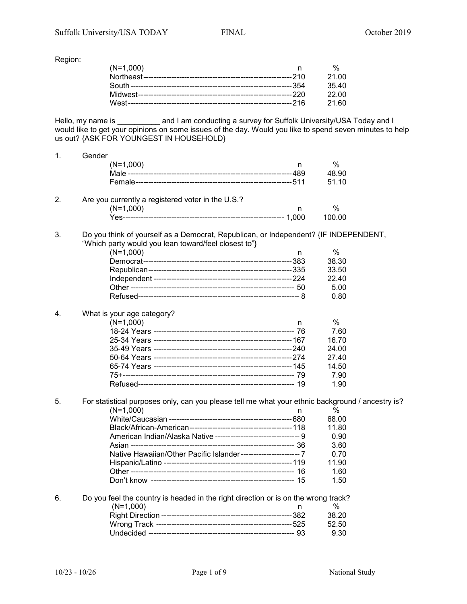Region:

| $(N=1,000)$ |         |
|-------------|---------|
|             | 21.00   |
|             | 35.40   |
|             | -22.00  |
|             | - 21.60 |

Hello, my name is \_\_\_\_\_\_\_\_\_\_ and I am conducting a survey for Suffolk University/USA Today and I would like to get your opinions on some issues of the day. Would you like to spend seven minutes to help us out? {ASK FOR YOUNGEST IN HOUSEHOLD}

| 1. | Gender                                                                                           |           |  |
|----|--------------------------------------------------------------------------------------------------|-----------|--|
|    | $(N=1,000)$                                                                                      | %<br>n    |  |
|    |                                                                                                  | 48.90     |  |
|    |                                                                                                  | 51.10     |  |
| 2. | Are you currently a registered voter in the U.S.?                                                |           |  |
|    | $(N=1,000)$                                                                                      | $\%$<br>n |  |
|    |                                                                                                  | 100.00    |  |
| 3. | Do you think of yourself as a Democrat, Republican, or Independent? {IF INDEPENDENT,             |           |  |
|    | "Which party would you lean toward/feel closest to"}                                             |           |  |
|    | $(N=1,000)$                                                                                      | %<br>n    |  |
|    |                                                                                                  | 38.30     |  |
|    |                                                                                                  | 33.50     |  |
|    |                                                                                                  | 22.40     |  |
|    |                                                                                                  | 5.00      |  |
|    |                                                                                                  | 0.80      |  |
| 4. | What is your age category?                                                                       |           |  |
|    | $(N=1,000)$                                                                                      | %<br>n    |  |
|    |                                                                                                  | 7.60      |  |
|    |                                                                                                  | 16.70     |  |
|    |                                                                                                  | 24.00     |  |
|    |                                                                                                  | 27.40     |  |
|    |                                                                                                  | 14.50     |  |
|    |                                                                                                  | 7.90      |  |
|    |                                                                                                  | 1.90      |  |
| 5. | For statistical purposes only, can you please tell me what your ethnic background / ancestry is? |           |  |
|    | $(N=1,000)$                                                                                      | ℅<br>n    |  |
|    |                                                                                                  | 68.00     |  |
|    |                                                                                                  | 11.80     |  |
|    | American Indian/Alaska Native --------------------------------- 9                                | 0.90      |  |
|    |                                                                                                  | 3.60      |  |
|    | Native Hawaiian/Other Pacific Islander------------------------ 7                                 | 0.70      |  |
|    |                                                                                                  | 11.90     |  |
|    |                                                                                                  | 1.60      |  |
|    |                                                                                                  | 1.50      |  |
|    |                                                                                                  |           |  |
| 6. | Do you feel the country is headed in the right direction or is on the wrong track?               |           |  |
|    | $(N=1,000)$                                                                                      | %<br>n    |  |
|    |                                                                                                  | 38.20     |  |
|    |                                                                                                  | 52.50     |  |
|    |                                                                                                  | 9.30      |  |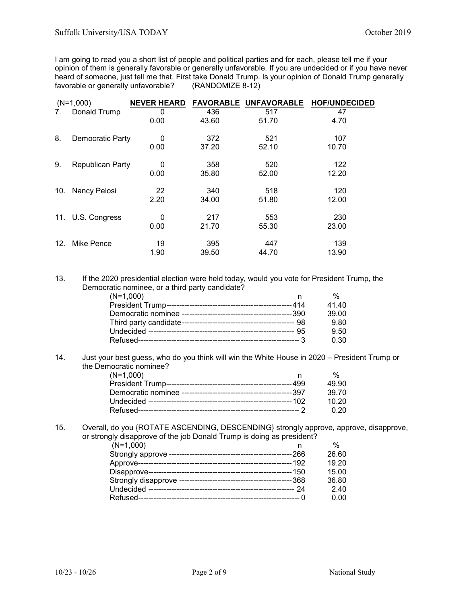I am going to read you a short list of people and political parties and for each, please tell me if your opinion of them is generally favorable or generally unfavorable. If you are undecided or if you have never heard of someone, just tell me that. First take Donald Trump. Is your opinion of Donald Trump generally<br>favorable or generally unfavorable? (RANDOMIZE 8-12) favorable or generally unfavorable?

|     | $(N=1,000)$             | <b>NEVER HEARD</b> | <b>FAVORABLE</b> | <b>UNFAVORABLE</b> | <b>HOF/UNDECIDED</b> |
|-----|-------------------------|--------------------|------------------|--------------------|----------------------|
| 7.  | Donald Trump            | 0                  | 436              | 517                | 47                   |
|     |                         | 0.00               | 43.60            | 51.70              | 4.70                 |
| 8.  | Democratic Party        | 0                  | 372              | 521                | 107                  |
|     |                         | 0.00               | 37.20            | 52.10              | 10.70                |
| 9.  | <b>Republican Party</b> | 0                  | 358              | 520                | 122                  |
|     |                         | 0.00               | 35.80            | 52.00              | 12.20                |
| 10. | Nancy Pelosi            | 22                 | 340              | 518                | 120                  |
|     |                         | 2.20               | 34.00            | 51.80              | 12.00                |
|     | 11. U.S. Congress       | $\Omega$           | 217              | 553                | 230                  |
|     |                         | 0.00               | 21.70            | 55.30              | 23.00                |
| 12. | Mike Pence              | 19                 | 395              | 447                | 139                  |
|     |                         | 1.90               | 39.50            | 44.70              | 13.90                |

13. If the 2020 presidential election were held today, would you vote for President Trump, the Democratic nominee, or a third party candidate?

| $(N=1,000)$ | %     |
|-------------|-------|
|             | 41.40 |
|             | 39.00 |
|             | 9.80  |
|             | 9.50  |
|             | 0.30  |

14. Just your best guess, who do you think will win the White House in 2020 – President Trump or the Democratic nominee?

| $(N=1,000)$ |        |
|-------------|--------|
|             | 49.90  |
|             | 39.70  |
|             | 10.20  |
|             | . 0.20 |

15. Overall, do you {ROTATE ASCENDING, DESCENDING} strongly approve, approve, disapprove, or strongly disapprove of the job Donald Trump is doing as president?

| $(N=1,000)$ |       |
|-------------|-------|
|             | 26.60 |
|             | 19.20 |
|             | 15.00 |
|             | 36.80 |
|             | 2.40  |
|             | 0. QU |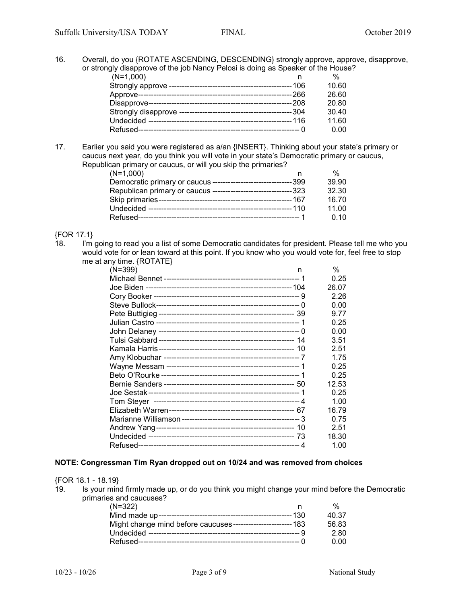16. Overall, do you {ROTATE ASCENDING, DESCENDING} strongly approve, approve, disapprove, or strongly disapprove of the job Nancy Pelosi is doing as Speaker of the House?

| $(N=1,000)$ | $\frac{0}{0}$ |
|-------------|---------------|
|             | 10.60         |
|             | 26.60         |
|             | 20.80         |
|             | 30.40         |
|             | 11.60         |
|             | 0.00          |
|             |               |

17. Earlier you said you were registered as a/an {INSERT}. Thinking about your state's primary or caucus next year, do you think you will vote in your state's Democratic primary or caucus, Republican primary or caucus, or will you skip the primaries?

| $(N=1,000)$                                                      | $\frac{0}{0}$ |
|------------------------------------------------------------------|---------------|
| Democratic primary or caucus --------------------------------399 | 39.90         |
| Republican primary or caucus --------------------------------323 | 32.30         |
|                                                                  | 16.70         |
|                                                                  | 11.00         |
|                                                                  | 0.10          |
|                                                                  |               |

### {FOR 17.1}

18. I'm going to read you a list of some Democratic candidates for president. Please tell me who you would vote for or lean toward at this point. If you know who you would vote for, feel free to stop me at any time. {ROTATE}

| $(N=399)$ | n | $\%$  |
|-----------|---|-------|
|           |   | 0.25  |
|           |   | 26.07 |
|           |   | 2.26  |
|           |   | 0.00  |
|           |   | 9.77  |
|           |   | 0.25  |
|           |   | 0.00  |
|           |   | 3.51  |
|           |   | 2.51  |
|           |   | 1.75  |
|           |   | 0.25  |
|           |   | 0.25  |
|           |   | 12.53 |
|           |   | 0.25  |
|           |   | 1.00  |
|           |   | 16.79 |
|           |   | 0.75  |
|           |   | 2.51  |
|           |   | 18.30 |
|           |   | 1.00  |

### **NOTE: Congressman Tim Ryan dropped out on 10/24 and was removed from choices**

#### {FOR 18.1 - 18.19}

19. Is your mind firmly made up, or do you think you might change your mind before the Democratic primaries and caucuses?

| $(N=322)$                                                     | %     |
|---------------------------------------------------------------|-------|
|                                                               | 40.37 |
| Might change mind before caucuses------------------------ 183 | 56.83 |
|                                                               | 2.80  |
|                                                               | 0.OO  |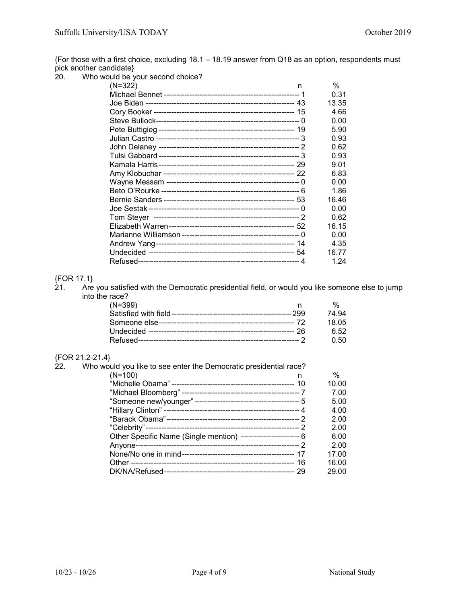{For those with a first choice, excluding 18.1 – 18.19 answer from Q18 as an option, respondents must pick another candidate}

20. Who would be your second choice?

| $(N=322)$ | n | %     |
|-----------|---|-------|
|           |   | 0.31  |
|           |   | 13.35 |
|           |   | 4.66  |
|           |   | 0.00  |
|           |   | 5.90  |
|           |   | 0.93  |
|           |   | 0.62  |
|           |   | 0.93  |
|           |   | 9.01  |
|           |   | 6.83  |
|           |   | 0.00  |
|           |   | 1.86  |
|           |   | 16.46 |
|           |   | 0.00  |
|           |   | 0.62  |
|           |   | 16.15 |
|           |   | 0.00  |
|           |   | 4.35  |
|           |   | 16.77 |
|           |   | 1.24  |

{FOR 17.1} . . . ,<br>Are you satisfied with the Democratic presidential field, or would you like someone else to jump into the race?

| $(N=399)$ | $\%$        |
|-----------|-------------|
|           | 74 94       |
|           | 18.05       |
|           | 6.52        |
|           | <u>ሰ 50</u> |

### {FOR 21.2-21.4}

| 22. | Who would you like to see enter the Democratic presidential race? |   |       |
|-----|-------------------------------------------------------------------|---|-------|
|     | $(N=100)$                                                         | n | %     |
|     |                                                                   |   | 10.00 |
|     |                                                                   |   | 7.00  |
|     |                                                                   |   | 5.00  |
|     |                                                                   |   | 4.00  |
|     |                                                                   |   | 2.00  |
|     |                                                                   |   | 2.00  |
|     | Other Specific Name (Single mention) ------------------------- 6  |   | 6.00  |
|     |                                                                   |   | 2.00  |
|     |                                                                   |   | 17.00 |
|     |                                                                   |   | 16.00 |
|     |                                                                   |   | 29.00 |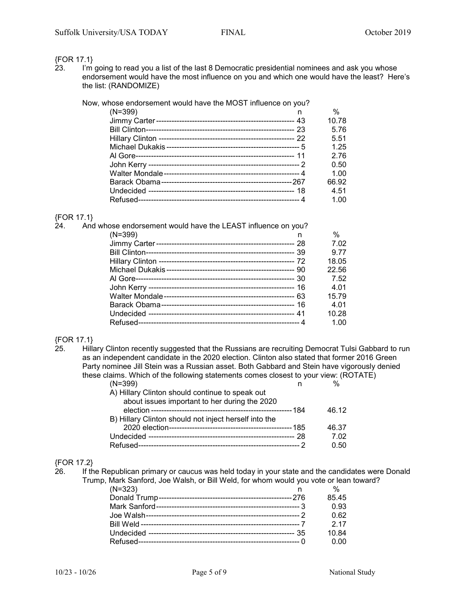### {FOR 17.1}

23. I'm going to read you a list of the last 8 Democratic presidential nominees and ask you whose endorsement would have the most influence on you and which one would have the least? Here's the list: (RANDOMIZE)

| $(N=399)$<br>n | Now, whose endorsement would have the MOST influence on you? |       |
|----------------|--------------------------------------------------------------|-------|
|                |                                                              | %     |
|                |                                                              | 10.78 |
|                |                                                              | 5.76  |
|                |                                                              | 5.51  |
|                |                                                              | 1.25  |
|                |                                                              | 2.76  |
|                |                                                              | 0.50  |
|                |                                                              | 1.00  |
|                |                                                              | 66.92 |
|                |                                                              | 4.51  |
|                |                                                              | 1.00  |

### {FOR 17.1}

| 24. | And whose endorsement would have the LEAST influence on you? |       |
|-----|--------------------------------------------------------------|-------|
|     | $(N=399)$<br>n                                               | %     |
|     |                                                              | 7.02  |
|     |                                                              | 9.77  |
|     |                                                              | 18.05 |
|     |                                                              | 22.56 |
|     |                                                              | 7.52  |
|     |                                                              | 4.01  |
|     |                                                              | 15.79 |
|     |                                                              | 4.01  |
|     |                                                              | 10.28 |
|     |                                                              | 1.00  |

## {FOR 17.1}

Hillary Clinton recently suggested that the Russians are recruiting Democrat Tulsi Gabbard to run as an independent candidate in the 2020 election. Clinton also stated that former 2016 Green Party nominee Jill Stein was a Russian asset. Both Gabbard and Stein have vigorously denied these claims. Which of the following statements comes closest to your view: (ROTATE)

| $(N=399)$                                             |             |
|-------------------------------------------------------|-------------|
| A) Hillary Clinton should continue to speak out       |             |
| about issues important to her during the 2020         |             |
|                                                       | 46.12       |
| B) Hillary Clinton should not inject herself into the |             |
|                                                       | 46.37       |
|                                                       | 7.02        |
|                                                       | <u>ი 50</u> |

# ${FOR 17.2}$ <br>26. If th

If the Republican primary or caucus was held today in your state and the candidates were Donald Trump, Mark Sanford, Joe Walsh, or Bill Weld, for whom would you vote or lean toward?

| $(N=323)$ | %     |
|-----------|-------|
|           | 85.45 |
|           | 0.93  |
|           | 0.62  |
|           | 217   |
|           | 10.84 |
|           | 0.00  |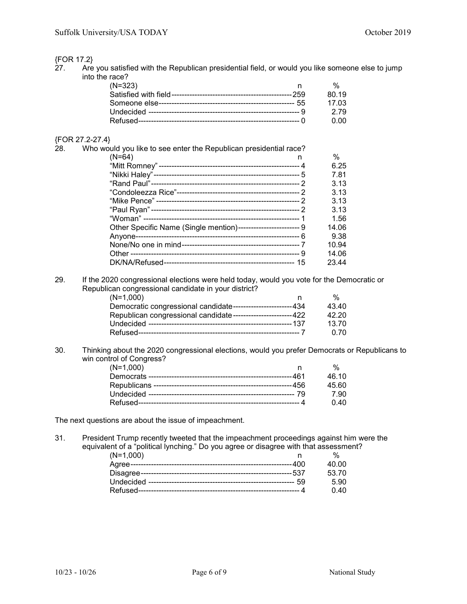## {FOR 17.2}

Are you satisfied with the Republican presidential field, or would you like someone else to jump into the race?

| $(N=323)$ |       |
|-----------|-------|
|           | 80 19 |
|           | 17 Q3 |
|           | -2.79 |
|           | n nn  |

#### {FOR 27.2-27.4}

| 28. | Who would you like to see enter the Republican presidential race? |       |
|-----|-------------------------------------------------------------------|-------|
|     | $(N=64)$<br>n                                                     | %     |
|     |                                                                   | 6.25  |
|     |                                                                   | 7.81  |
|     |                                                                   | 3.13  |
|     |                                                                   | 3.13  |
|     |                                                                   | 3.13  |
|     |                                                                   | 3.13  |
|     |                                                                   | 1.56  |
|     | Other Specific Name (Single mention)------------------------ 9    | 14.06 |
|     |                                                                   | 9.38  |
|     |                                                                   | 10.94 |
|     |                                                                   | 14.06 |
|     |                                                                   | 23.44 |

29. If the 2020 congressional elections were held today, would you vote for the Democratic or Republican congressional candidate in your district?

| $(N=1,000)$                                                  | $\frac{0}{6}$ |
|--------------------------------------------------------------|---------------|
| Democratic congressional candidate----------------------434  | 43.40         |
| Republican congressional candidate-----------------------422 | 42.20         |
|                                                              | 13.70         |
|                                                              | <u>በ 7በ</u>   |

30. Thinking about the 2020 congressional elections, would you prefer Democrats or Republicans to win control of Congress?

| $(N=1,000)$ |       |
|-------------|-------|
|             | 46.10 |
|             | 45.60 |
|             | 7.90  |
|             | 0.40  |

The next questions are about the issue of impeachment.

31. President Trump recently tweeted that the impeachment proceedings against him were the equivalent of a "political lynching." Do you agree or disagree with that assessment?

| $(N=1,000)$ |       |
|-------------|-------|
|             | 40.OO |
|             | 53.70 |
|             | 5.90  |
|             | 0.40  |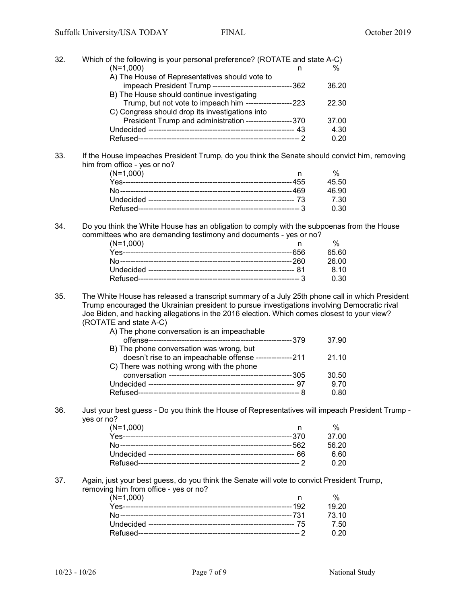| 32. | Which of the following is your personal preference? (ROTATE and state A-C)                                                   |       |  |
|-----|------------------------------------------------------------------------------------------------------------------------------|-------|--|
|     | $(N=1,000)$<br>n                                                                                                             | $\%$  |  |
|     | A) The House of Representatives should vote to                                                                               |       |  |
|     | impeach President Trump ---------------------------------362                                                                 | 36.20 |  |
|     | B) The House should continue investigating                                                                                   |       |  |
|     | Trump, but not vote to impeach him -------------------223                                                                    | 22.30 |  |
|     | C) Congress should drop its investigations into                                                                              |       |  |
|     | President Trump and administration ------------------370                                                                     | 37.00 |  |
|     |                                                                                                                              | 4.30  |  |
|     |                                                                                                                              | 0.20  |  |
| 33. | If the House impeaches President Trump, do you think the Senate should convict him, removing<br>him from office - yes or no? |       |  |
|     | $(N=1,000)$<br>n.                                                                                                            | $\%$  |  |
|     |                                                                                                                              | 45.50 |  |
|     |                                                                                                                              | 46.90 |  |
|     |                                                                                                                              | 7.30  |  |
|     |                                                                                                                              | 0.30  |  |
| 34. | Do you think the White House has an obligation to comply with the subpoenas from the House                                   |       |  |
|     | committees who are demanding testimony and documents - yes or no?                                                            |       |  |
|     | $(N=1,000)$<br>n                                                                                                             | $\%$  |  |
|     |                                                                                                                              | 65.60 |  |

|                                                                                      | 26.00   |  |
|--------------------------------------------------------------------------------------|---------|--|
|                                                                                      | -8.10   |  |
|                                                                                      | . በ. 30 |  |
| The White House has released a transcript summary of a July 25th phone call in which |         |  |

35. The White House has released a transcript summary of a July 25th phone call in which President Trump encouraged the Ukrainian president to pursue investigations involving Democratic rival Joe Biden, and hacking allegations in the 2016 election. Which comes closest to your view? (ROTATE and state A-C)

| A) The phone conversation is an impeachable              |       |
|----------------------------------------------------------|-------|
|                                                          | 37.90 |
| B) The phone conversation was wrong, but                 |       |
| doesn't rise to an impeachable offense --------------211 | 21.10 |
| C) There was nothing wrong with the phone                |       |
|                                                          | 30.50 |
|                                                          | 9.70  |
|                                                          | 0.80  |

36. Just your best guess - Do you think the House of Representatives will impeach President Trump yes or no?

| (N=1,000) |        |
|-----------|--------|
|           | 37.OO  |
|           | .56.20 |
|           | 6.60   |
|           |        |

### 37. Again, just your best guess, do you think the Senate will vote to convict President Trump, removing him from office - yes or no?

| $(N=1,000)$ |             |
|-------------|-------------|
|             | 19.20       |
|             | 73.10       |
|             | 7.50        |
|             | <u>በ 20</u> |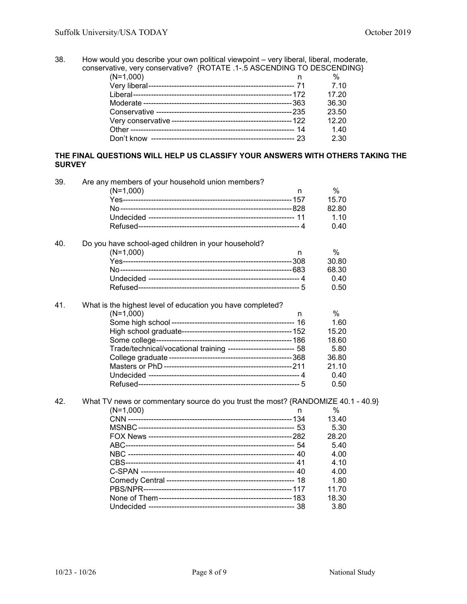38. How would you describe your own political viewpoint – very liberal, liberal, moderate, conservative, very conservative? {ROTATE .1-.5 ASCENDING TO DESCENDING}

| rativo, vol y concervativo. processivos tos tocento no becomento |       |
|------------------------------------------------------------------|-------|
| $(N=1,000)$                                                      | %     |
|                                                                  | 7.10  |
|                                                                  | 17.20 |
|                                                                  | 36.30 |
|                                                                  | 23.50 |
|                                                                  | 12.20 |
|                                                                  | 1.40  |
|                                                                  | 2.30  |
|                                                                  |       |

### **THE FINAL QUESTIONS WILL HELP US CLASSIFY YOUR ANSWERS WITH OTHERS TAKING THE SURVEY**

| 39. | Are any members of your household union members?                                 |   |       |
|-----|----------------------------------------------------------------------------------|---|-------|
|     | $(N=1,000)$                                                                      | n | %     |
|     |                                                                                  |   | 15.70 |
|     |                                                                                  |   | 82.80 |
|     |                                                                                  |   | 1.10  |
|     |                                                                                  |   | 0.40  |
| 40. | Do you have school-aged children in your household?                              |   |       |
|     | $(N=1,000)$                                                                      | n | $\%$  |
|     |                                                                                  |   | 30.80 |
|     |                                                                                  |   | 68.30 |
|     |                                                                                  |   | 0.40  |
|     |                                                                                  |   | 0.50  |
| 41. | What is the highest level of education you have completed?                       |   |       |
|     | $(N=1,000)$                                                                      | n | $\%$  |
|     |                                                                                  |   | 1.60  |
|     |                                                                                  |   | 15.20 |
|     |                                                                                  |   | 18.60 |
|     | Trade/technical/vocational training -------------------------- 58                |   | 5.80  |
|     |                                                                                  |   | 36.80 |
|     |                                                                                  |   | 21.10 |
|     |                                                                                  |   | 0.40  |
|     |                                                                                  |   | 0.50  |
| 42. | What TV news or commentary source do you trust the most? {RANDOMIZE 40.1 - 40.9} |   |       |
|     | $(N=1,000)$                                                                      | n | $\%$  |
|     |                                                                                  |   | 13.40 |
|     |                                                                                  |   | 5.30  |
|     |                                                                                  |   | 28.20 |
|     |                                                                                  |   | 5.40  |
|     |                                                                                  |   | 4.00  |
|     |                                                                                  |   | 4.10  |
|     |                                                                                  |   | 4.00  |
|     |                                                                                  |   | 1.80  |
|     |                                                                                  |   | 11.70 |
|     |                                                                                  |   | 18.30 |
|     |                                                                                  |   | 3.80  |